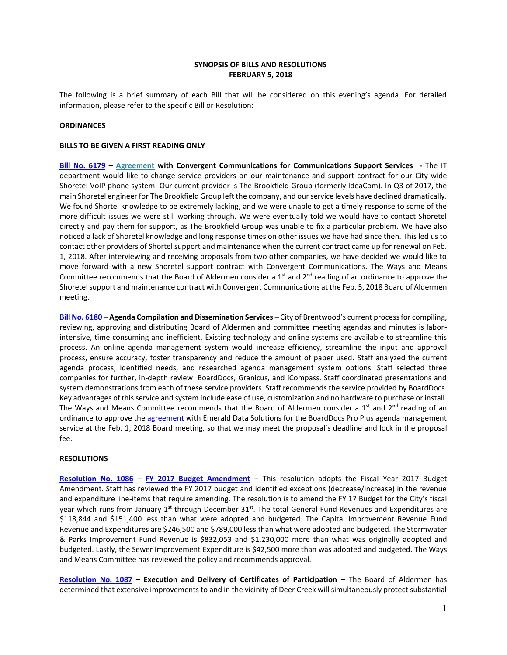## **SYNOPSIS OF BILLS AND RESOLUTIONS FEBRUARY 5, 2018**

The following is a brief summary of each Bill that will be considered on this evening's agenda. For detailed information, please refer to the specific Bill or Resolution:

## **ORDINANCES**

## **BILLS TO BE GIVEN A FIRST READING ONLY**

**[Bill No. 6179](http://www.brentwoodmo.org/DocumentCenter/View/22371) – [Agreement](http://www.brentwoodmo.org/DocumentCenter/View/22390) with Convergent Communications for Communications Support Services -** The IT department would like to change service providers on our maintenance and support contract for our City-wide Shoretel VoIP phone system. Our current provider is The Brookfield Group (formerly IdeaCom). In Q3 of 2017, the main Shoretel engineer for The Brookfield Group left the company, and our service levels have declined dramatically. We found Shortel knowledge to be extremely lacking, and we were unable to get a timely response to some of the more difficult issues we were still working through. We were eventually told we would have to contact Shoretel directly and pay them for support, as The Brookfield Group was unable to fix a particular problem. We have also noticed a lack of Shoretel knowledge and long response times on other issues we have had since then. This led us to contact other providers of Shortel support and maintenance when the current contract came up for renewal on Feb. 1, 2018. After interviewing and receiving proposals from two other companies, we have decided we would like to move forward with a new Shoretel support contract with Convergent Communications. The Ways and Means Committee recommends that the Board of Aldermen consider a  $1<sup>st</sup>$  and  $2<sup>nd</sup>$  reading of an ordinance to approve the Shoretel support and maintenance contract with Convergent Communications at the Feb. 5, 2018 Board of Aldermen meeting.

**[Bill No. 6180](http://www.brentwoodmo.org/DocumentCenter/View/22374) – Agenda Compilation and Dissemination Services –** City of Brentwood's current process for compiling, reviewing, approving and distributing Board of Aldermen and committee meeting agendas and minutes is laborintensive, time consuming and inefficient. Existing technology and online systems are available to streamline this process. An online agenda management system would increase efficiency, streamline the input and approval process, ensure accuracy, foster transparency and reduce the amount of paper used. Staff analyzed the current agenda process, identified needs, and researched agenda management system options. Staff selected three companies for further, in-depth review: BoardDocs, Granicus, and iCompass. Staff coordinated presentations and system demonstrations from each of these service providers. Staff recommends the service provided by BoardDocs. Key advantages of this service and system include ease of use, customization and no hardware to purchase or install. The Ways and Means Committee recommends that the Board of Aldermen consider a 1<sup>st</sup> and 2<sup>nd</sup> reading of an ordinance to approve the [agreement](http://www.brentwoodmo.org/DocumentCenter/View/22414) with Emerald Data Solutions for the BoardDocs Pro Plus agenda management service at the Feb. 1, 2018 Board meeting, so that we may meet the proposal's deadline and lock in the proposal fee.

## **RESOLUTIONS**

**[Resolution No. 1086](http://www.brentwoodmo.org/DocumentCenter/View/22372) – [FY 2017 Budget Amendment](http://www.brentwoodmo.org/DocumentCenter/View/22357) –** This resolution adopts the Fiscal Year 2017 Budget Amendment. Staff has reviewed the FY 2017 budget and identified exceptions (decrease/increase) in the revenue and expenditure line-items that require amending. The resolution is to amend the FY 17 Budget for the City's fiscal year which runs from January 1<sup>st</sup> through December 31<sup>st</sup>. The total General Fund Revenues and Expenditures are \$118,844 and \$151,400 less than what were adopted and budgeted. The Capital Improvement Revenue Fund Revenue and Expenditures are \$246,500 and \$789,000 less than what were adopted and budgeted. The Stormwater & Parks Improvement Fund Revenue is \$832,053 and \$1,230,000 more than what was originally adopted and budgeted. Lastly, the Sewer Improvement Expenditure is \$42,500 more than was adopted and budgeted. The Ways and Means Committee has reviewed the policy and recommends approval.

**[Resolution No. 1087](http://www.brentwoodmo.org/DocumentCenter/View/22411) – Execution and Delivery of Certificates of Participation –** The Board of Aldermen has determined that extensive improvements to and in the vicinity of Deer Creek will simultaneously protect substantial